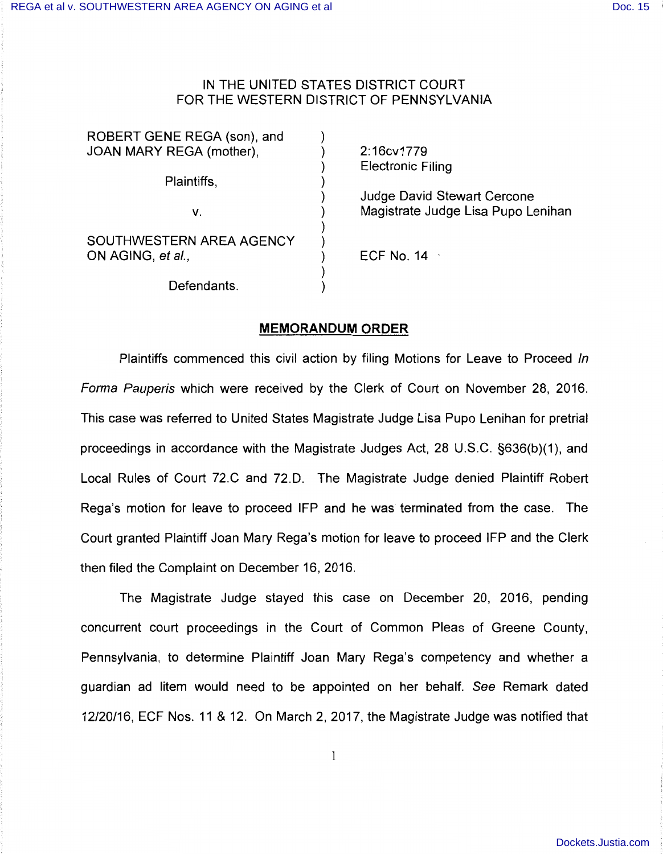## IN THE UNITED STATES DISTRICT COURT FOR THE WESTERN DISTRICT OF PENNSYLVANIA

| ROBERT GENE REGA (son), and |                                    |
|-----------------------------|------------------------------------|
| JOAN MARY REGA (mother),    | 2:16cv1779                         |
|                             | <b>Electronic Filing</b>           |
| Plaintiffs,                 |                                    |
|                             | <b>Judge David Stewart Cercone</b> |
| v.                          | Magistrate Judge Lisa Pupo Lenihan |
|                             |                                    |
| SOUTHWESTERN AREA AGENCY    |                                    |
| ON AGING, et al.,           | ECF No. $14 -$                     |
|                             |                                    |
| Defendants.                 |                                    |

## **MEMORANDUM ORDER**

Plaintiffs commenced this civil action by filing Motions for Leave to Proceed In Forma Pauperis which were received by the Clerk of Court on November 28, 2016. This case was referred to United States Magistrate Judge Lisa Pupo Lenihan for pretrial proceedings in accordance with the Magistrate Judges Act, 28 U.S.C. §636(b)(1 ), and Local Rules of Court 72.C and 72.D. The Magistrate Judge denied Plaintiff Robert Rega's motion for leave to proceed IFP and he was terminated from the case. The Court granted Plaintiff Joan Mary Rega's motion for leave to proceed IFP and the Clerk then filed the Complaint on December 16, 2016.

The Magistrate Judge stayed this case on December 20, 2016, pending concurrent court proceedings in the Court of Common Pleas of Greene County, Pennsylvania, to determine Plaintiff Joan Mary Rega's competency and whether a guardian ad litem would need to be appointed on her behalf. See Remark dated 12/20/16, ECF Nos. 11 & 12. On March 2, 2017, the Magistrate Judge was notified that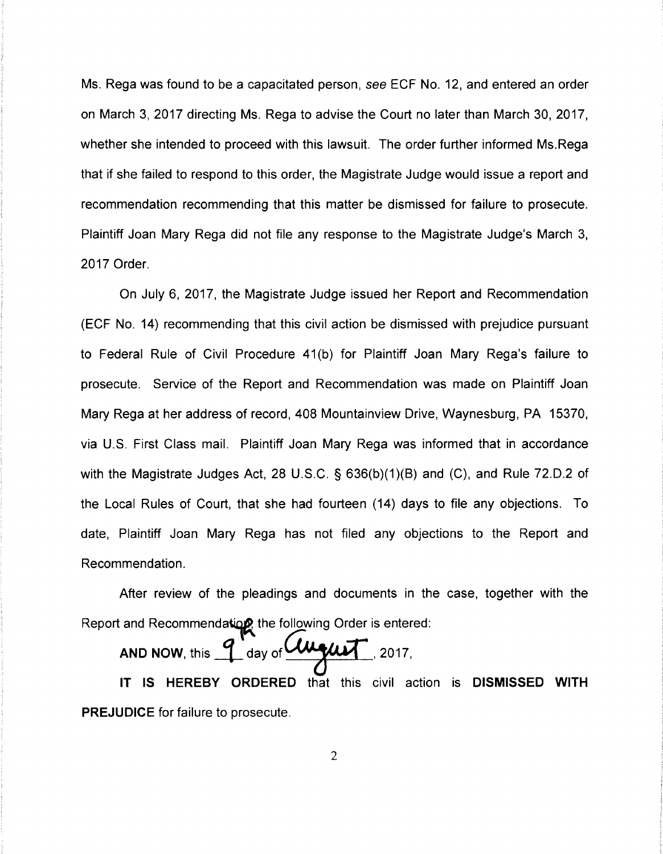Ms. Rega was found to be a capacitated person, *see* ECF No. 12, and entered an order on March 3, 2017 directing Ms. Rega to advise the Court no later than March 30, 2017, whether she intended to proceed with this lawsuit. The order further informed Ms.Rega that if she failed to respond to this order, the Magistrate Judge would issue a report and recommendation recommending that this matter be dismissed for failure to prosecute. Plaintiff Joan Mary Rega did not file any response to the Magistrate Judge's March 3, 2017 Order.

On July 6, 2017, the Magistrate Judge issued her Report and Recommendation (ECF No. 14) recommending that this civil action be dismissed with prejudice pursuant to Federal Rule of Civil Procedure 41 (b) for Plaintiff Joan Mary Rega's failure to prosecute. Service of the Report and Recommendation was made on Plaintiff Joan Mary Rega at her address of record, 408 Mountainview Drive, Waynesburg, PA 15370, via U.S. First Class mail. Plaintiff Joan Mary Rega was informed that in accordance with the Magistrate Judges Act, 28 U.S.C. § 636(b)(1)(B) and (C), and Rule 72.D.2 of the Local Rules of Court, that she had fourteen (14) days to file any objections. To date, Plaintiff Joan Mary Rega has not filed any objections to the Report and Recommendation.

After review of the pleadings and documents in the case, together with the

Report and Recommendation the following Order is entered:<br>
AND NOW, this 1 day of **August** 2017,

IT IS **HEREBY ORDERED** that this civil action is **DISMISSED WITH PREJUDICE** for failure to prosecute.